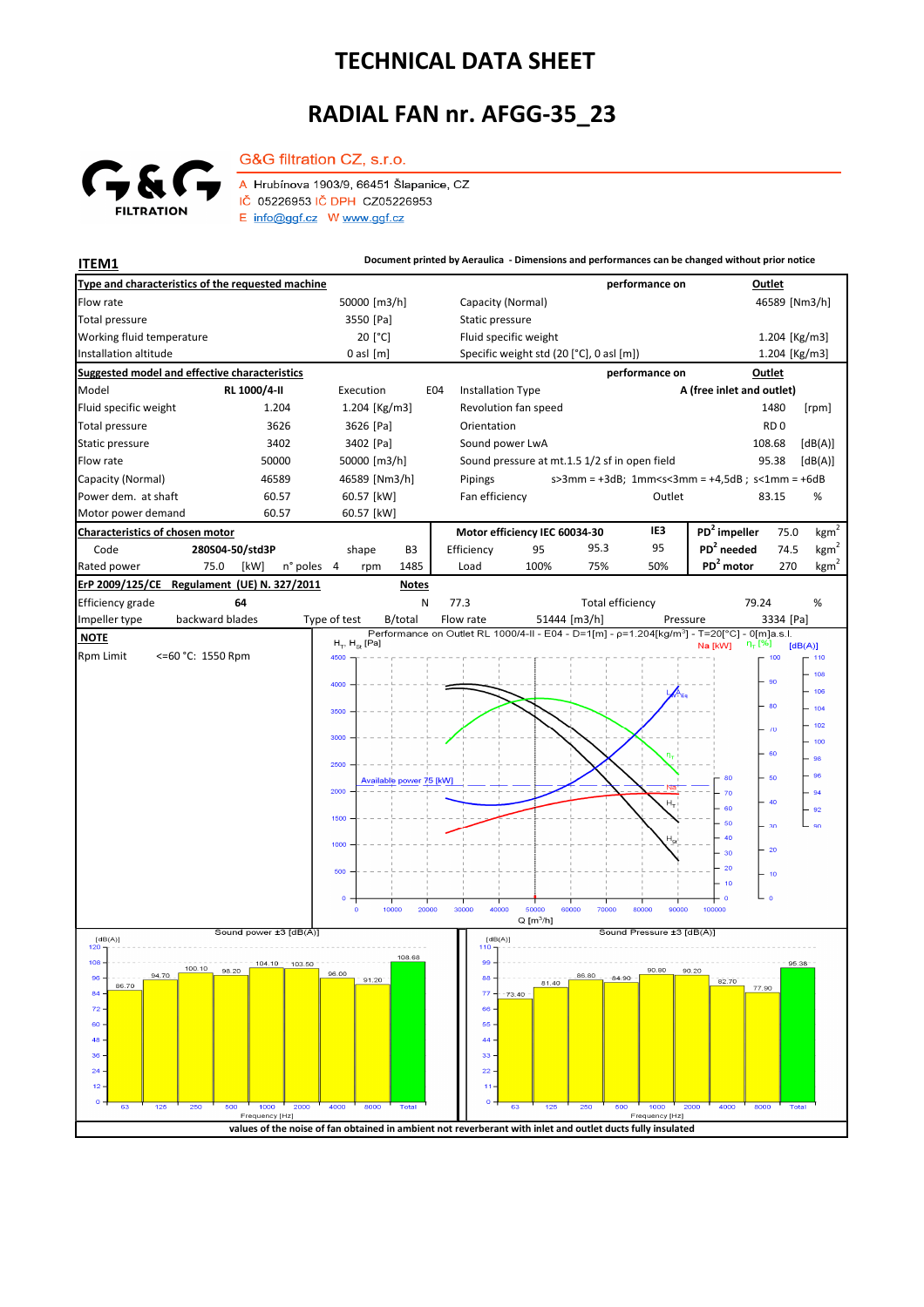## **TECHNICAL DATA SHEET**

## **RADIAL FAN nr. AFGG-35\_23**



G&G filtration CZ, s.r.o.

A Hrubínova 1903/9, 66451 Šlapanice, CZ IČ 05226953 IČ DPH CZ05226953  $E$  info@ggf.cz W www.ggf.cz

**ITEM1 Document printed by Aeraulica** - Dimensions and performances can be changed without prior notice **Type and characteristics of the requested machine performance on Outlet** Flow rate 19 1 1000 [m3/h] 1990 [m3/h] 1990 [m3/h] 1990 [Alta Capacity (Normal) 1990 1990 1990 1990 1990 1990 1 [Pa] Static pressure Total pressure Working fluid temperature 20<sup>[°</sup>C] Fluid specific weight 1.204 [Kg/m3] Installation altitude 0 asl [m] Specific weight std (20 [°C], 0 asl [m]) Specific weight std (20 [°C], 0 asl [m]) 1.204 [Kg/m3] **Suggested model and effective characteristics performance on Outlet** Model **RL 1000/4-II** Execution E04 Installation Type **A (free inlet and outlet)** Fluid specific weight 1.204 1.204 [Kg/m3] Revolution fan speed 1480 [rpm] Total pressure 3626 3626 [Pa] Orientation **RD** 0 Static pressure 3402 3402 [Pa] Sound power LwA 108.68 [dB(A)] Flow rate 60000 50000 50000 50000 [m3/h] Sound pressure at mt.1.5 1/2 sf in open field 95.38 [dB(A)] Capacity (Normal) 46589 46589 [Nm3/h] s>3mm = +3dB; 1mm<s<3mm = +4,5dB ; s<1mm = +6dB Pipings Power dem. at shaft 60.57 60.57 [kW] Fan efficiency Cutlet 63.15 % 83.15 Motor power demand 60.57 60.57 [kW] **Characteristics of chosen motor Motor efficiency IEC 60034-30 IE3 PD<sup>2</sup> impeller** 75.0  $kgm<sup>2</sup>$ Code **280S04-50/std3P PD<sup>2</sup> needed** 74.5 shape B3 Efficiency 95 95.3 95  $kgm^2$ n° poles 4 rpm 1485 Load 100% 75% 50% **PD<sup>2</sup> motor** 270 kgm<sup>2</sup> Rated power 75.0 [kW] n° poles 4 1485 Load 100% 75% 50% **PD<sup>2</sup> ErP 2009/125/CE Regulament (UE) N. 327/2011 Notes** 79.24 Efficiency grade **64** N 77.3 Total efficiency 79.24 % backward blades Impeller type backward blades Type of test B/total Flow rate 51444 [m3/h] Pressure 3334 [Pa]  **NOTE**  $H_{\pi}$ ,  $H_{\infty}$  [Pa]  $[dB(A)]$ Rpm Limit <=60 °C: 1550 Rpm 4500 100 108 **AC** 106 80 104 102  $\lambda$ 300 100 .<br>er 98  $2500$ 96 Available power 75 [kW] 80 60 2000  $70$  $-94$  $\overline{H_{\rm T}}$ 60  $-92$  $\overline{a}$  $50$  $\mathsf{I}$  $\alpha$  $\overline{30}$  $\overline{40}$  $1000$  $\overline{20}$  $30$  $\overline{20}$  $\overline{16}$  $\overline{10}$  $10000$  $20000$  $30000$  $40000$ 60000 70000 80000  $0000$  $Q[m^3/h]$ ا<br>Sound power ±3 [dB(A)] Sound Pressure ±3 [dB(A)]  $[dB(A)]$ <br>120 T  $[dB(A)]$ 108.68  $108$ 104.10 103.50 100.10  $\alpha$ 90.80  $90.20$ 96.00 88  $96$ 91.20 a4  $81.40$ 82.70 86.70 77.90  $\overline{77}$ 8. 73  $\overline{7}$ 66 60 55  $\overline{AB}$  $\overline{44}$  $36$ 33  $\overline{2}$  $\overline{22}$  $\overline{1}$  $\mathbf{A}$  $\overline{a}$ Fred y [Hz y [Hz] **values of the noise of fan obtained in ambient not reverberant with inlet and outlet ducts fully insulated**